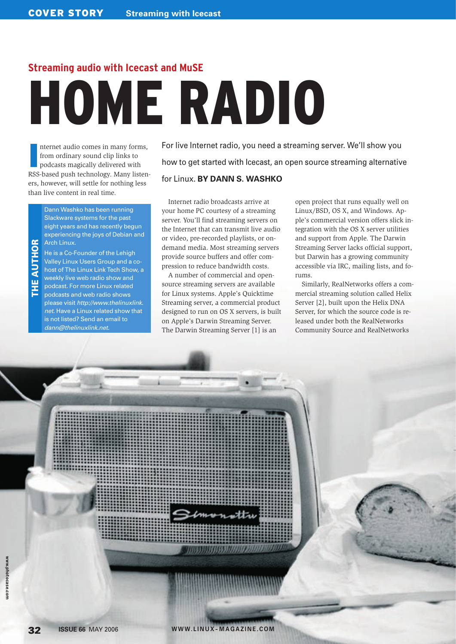# **Streaming audio with Icecast and MuSE** HOME RADIO

**I** nternet audio comes in many forms, from ordinary sound clip links to podcasts magically delivered with RSS-based push technology. Many listeners, however, will settle for nothing less than live content in real time.

> Dann Washko has been running Slackware systems for the past eight years and has recently begun experiencing the joys of Debian and Arch Linux.

**AUTHOR** THE AUTHOR  $\frac{1}{2}$ 

He is a Co-Founder of the Lehigh Valley Linux Users Group and a cohost of The Linux Link Tech Show, a weekly live web radio show and podcast. For more Linux related podcasts and web radio shows please visit http://www.thelinuxlink. net. Have a Linux related show that is not listed? Send an email to dann@thelinuxlink.net.

For live Internet radio, you need a streaming server. We'll show you how to get started with Icecast, an open source streaming alternative

## for Linux. **BY DANN S. WASHKO**

Internet radio broadcasts arrive at your home PC courtesy of a streaming server. You'll find streaming servers on the Internet that can transmit live audio or video, pre-recorded playlists, or ondemand media. Most streaming servers provide source buffers and offer compression to reduce bandwidth costs.

A number of commercial and opensource streaming servers are available for Linux systems. Apple's Quicktime Streaming server, a commercial product designed to run on OS X servers, is built on Apple's Darwin Streaming Server. The Darwin Streaming Server [1] is an

open project that runs equally well on Linux/BSD, OS X, and Windows. Apple's commercial version offers slick integration with the OS X server utilities and support from Apple. The Darwin Streaming Server lacks official support, but Darwin has a growing community accessible via IRC, mailing lists, and forums.

Similarly, RealNetworks offers a commercial streaming solution called Helix Server [2], built upon the Helix DNA Server, for which the source code is released under both the RealNetworks Community Source and RealNetworks

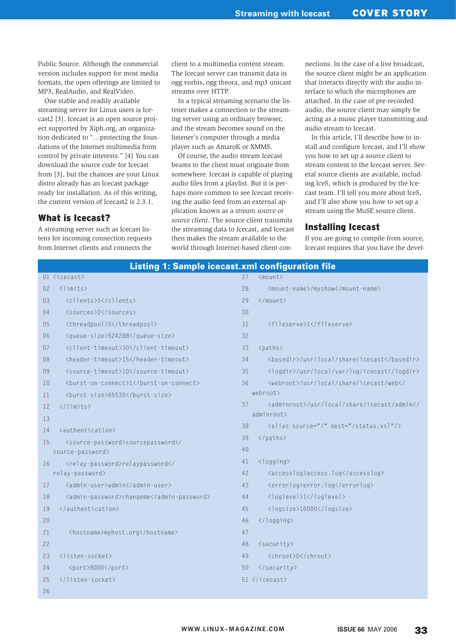Public Source. Although the commercial version includes support for most media formats, the open offerings are limited to MP3, RealAudio, and RealVideo.

One stable and readily available streaming server for Linux users is Icecast2 [3]. Icecast is an open source project supported by Xiph.org, an organization dedicated to "…protecting the foundations of the Internet multimedia from control by private interests." [4] You can download the source code for Icecast from [3], but the chances are your Linux distro already has an Icecast package ready for installation. As of this writing, the current version of Icecast2 is 2.3.1.

#### What is Icecast?

A streaming server such as Icecast listens for incoming connection requests from Internet clients and connects the client to a multimedia content stream. The Icecast server can transmit data in ogg vorbis, ogg theora, and mp3 unicast streams over HTTP.

In a typical streaming scenario the listener makes a connection to the streaming server using an ordinary browser, and the stream becomes sound on the listener's computer through a media player such as AmaroK or XMMS.

Of course, the audio stream Icecast beams to the client must originate from somewhere. Icecast is capable of playing audio files from a playlist. But it is perhaps more common to see Icecast receiving the audio feed from an external application known as a *stream source* or *source client*. The source client transmits the streaming data to Icecast, and Icecast then makes the stream available to the world through Internet-based client connections. In the case of a live broadcast, the source client might be an application that interacts directly with the audio interface to which the microphones are attached. In the case of pre-recorded audio, the source client may simply be acting as a music player transmitting and audio stream to Icecast.

In this article, I'll describe how to install and configure Icecast, and I'll show you how to set up a source client to stream content to the Icecast server. Several source clients are available, including IceS, which is produced by the Icecast team. I'll tell you more about IceS, and I'll also show you how to set up a stream using the MuSE source client.

#### Installing Icecast

If you are going to compile from source, Icecast requires that you have the devel-

|                | <b>Listing 1: Sample icecast.xml configuration file</b>                                          |           |                                                                  |  |  |
|----------------|--------------------------------------------------------------------------------------------------|-----------|------------------------------------------------------------------|--|--|
|                | 01 <icecast></icecast>                                                                           | 27        | $<$ mount>                                                       |  |  |
| 0 <sup>2</sup> | $\langle$ limits $\rangle$                                                                       | 28        | <mount-name>/myshow</mount-name>                                 |  |  |
| 03             | <clients>5</clients>                                                                             | 29        | $\langle$ /mount>                                                |  |  |
| 04             | <sources>2</sources>                                                                             | 30        |                                                                  |  |  |
| 05             | <threadpool>5</threadpool>                                                                       | 31        | <fileserve>1</fileserve>                                         |  |  |
| 06             | <queue-size>524288</queue-size>                                                                  | 32        |                                                                  |  |  |
| 07             | <client-timeout>30</client-timeout>                                                              | 33        | <paths></paths>                                                  |  |  |
| 08             | <header-timeout>15</header-timeout>                                                              | 34        | <basedir>/usr/local/share/icecast</basedir>                      |  |  |
| 09             | <source-timeout>10</source-timeout>                                                              | 35        | <logdir>/usr/local/var/log/icecast</logdir>                      |  |  |
| 10             | <burst-on-connect>1</burst-on-connect>                                                           | 36        | <webroot>/usr/local/share/icecast/web<!--</td--></webroot>       |  |  |
| 11             | <burst-size>65535</burst-size>                                                                   |           | webroot>                                                         |  |  |
| 12             | $\langle$ /limits>                                                                               | 37        | <adminroot>/usr/local/share/icecast/admin<!--</td--></adminroot> |  |  |
| 13             |                                                                                                  | adminroot |                                                                  |  |  |
| 14             | <authentication></authentication>                                                                | 38        | <alias dest="/status.xsl" source="/"></alias>                    |  |  |
| 15             | <source-password>sourcepassword<!--</td--><td>39</td><td></td></source-password>                 | 39        |                                                                  |  |  |
|                | source-password>                                                                                 | 40        |                                                                  |  |  |
| 16             | <relay-password>relaypassword<!--</td--><td>41</td><td><logging></logging></td></relay-password> | 41        | <logging></logging>                                              |  |  |
|                | relay-password>                                                                                  | 42        | <accesslog>access.log</accesslog>                                |  |  |
| 17             | <admin-user>admin</admin-user>                                                                   | 43        | <errorlog>error.log</errorlog>                                   |  |  |
| 18             | <admin-password>changeme</admin-password>                                                        | 44        | <loglevel>1</loglevel>                                           |  |  |
| 19             |                                                                                                  | 45        | <logsize>10000</logsize>                                         |  |  |
| 20             |                                                                                                  | 46        |                                                                  |  |  |
| 21             | <hostname>myhost.org</hostname>                                                                  | 47        |                                                                  |  |  |
| 22             |                                                                                                  | 48        | $\langle security\rangle$                                        |  |  |
| 23             | $\langle$ listen-socket $\rangle$                                                                | 49        | <chroot>0</chroot>                                               |  |  |
| 24             | <port>8000</port>                                                                                | 50        |                                                                  |  |  |
| 25             |                                                                                                  |           | 51                                                               |  |  |
| 26             |                                                                                                  |           |                                                                  |  |  |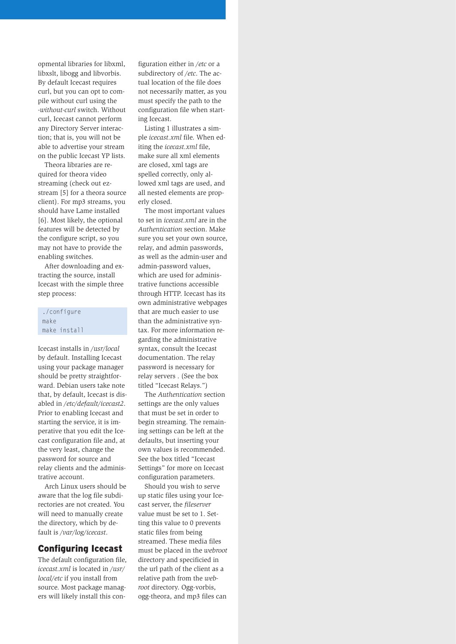opmental libraries for libxml, libxslt, libogg and libvorbis. By default Icecast requires curl, but you can opt to compile without curl using the *-without-curl* switch. Without curl, Icecast cannot perform any Directory Server interaction; that is, you will not be able to advertise your stream on the public Icecast YP lists.

Theora libraries are required for theora video streaming (check out ezstream [5] for a theora source client). For mp3 streams, you should have Lame installed [6]. Most likely, the optional features will be detected by the configure script, so you may not have to provide the enabling switches.

After downloading and extracting the source, install Icecast with the simple three step process:

#### ./configure make make install

Icecast installs in */usr/local* by default. Installing Icecast using your package manager should be pretty straightforward. Debian users take note that, by default, Icecast is disabled in */etc/default/icecast2*. Prior to enabling Icecast and starting the service, it is imperative that you edit the Icecast configuration file and, at the very least, change the password for source and relay clients and the administrative account.

Arch Linux users should be aware that the log file subdirectories are not created. You will need to manually create the directory, which by default is */var/log/icecast*.

## Configuring Icecast

The default configuration file, *icecast.xml* is located in */usr/ local/etc* if you install from source. Most package managers will likely install this con-

figuration either in */etc* or a subdirectory of */etc*. The actual location of the file does not necessarily matter, as you must specify the path to the configuration file when starting Icecast.

Listing 1 illustrates a simple *icecast.xml* file. When editing the *icecast.xml* file, make sure all xml elements are closed, xml tags are spelled correctly, only allowed xml tags are used, and all nested elements are properly closed.

The most important values to set in *icecast.xml* are in the *Authentication* section. Make sure you set your own source, relay, and admin passwords, as well as the admin-user and admin-password values, which are used for administrative functions accessible through HTTP. Icecast has its own administrative webpages that are much easier to use than the administrative syntax. For more information regarding the administrative syntax, consult the Icecast documentation. The relay password is necessary for relay servers . (See the box titled "Icecast Relays.")

The *Authentication* section settings are the only values that must be set in order to begin streaming. The remaining settings can be left at the defaults, but inserting your own values is recommended. See the box titled "Icecast Settings" for more on Icecast configuration parameters.

Should you wish to serve up static files using your Icecast server, the *fileserver* value must be set to 1. Setting this value to 0 prevents static files from being streamed. These media files must be placed in the *webroot* directory and specificied in the url path of the client as a relative path from the *webroot* directory. Ogg-vorbis, ogg-theora, and mp3 files can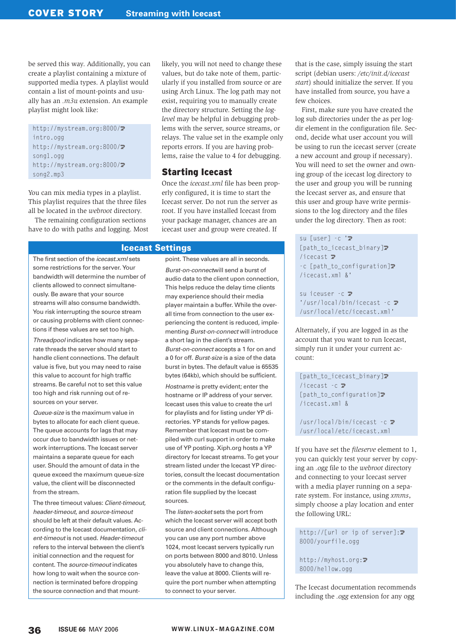be served this way. Additionally, you can create a playlist containing a mixture of supported media types. A playlist would contain a list of mount-points and usually has an *.m3u* extension. An example playlist might look like:

http://mystream.org:8000/2 intro.ogg http://mystream.org:8000/2 song1.ogg http://mystream.org:8000/2 song2.mp3

You can mix media types in a playlist. This playlist requires that the three files all be located in the *webroot* directory.

The remaining configuration sections have to do with paths and logging. Most

The first section of the *icecast.xml* sets some restrictions for the server. Your bandwidth will determine the number of clients allowed to connect simultaneously. Be aware that your source streams will also consume bandwidth. You risk interrupting the source stream or causing problems with client connections if these values are set too high.

Threadpool indicates how many separate threads the server should start to handle client connections. The default value is five, but you may need to raise this value to account for high traffic streams. Be careful not to set this value too high and risk running out of resources on your server.

Queue-size is the maximum value in bytes to allocate for each client queue. The queue accounts for lags that may occur due to bandwidth issues or network interruptions. The Icecast server maintains a separate queue for each user. Should the amount of data in the queue exceed the maximum queue-size value, the client will be disconnected from the stream.

The three timeout values: Client-timeout, header-timeout, and source-timeout should be left at their default values. According to the Icecast documentation, client-timeout is not used. Header-timeout refers to the interval between the client's initial connection and the request for content. The source-timeout indicates how long to wait when the source connection is terminated before dropping the source connection and that mount-

likely, you will not need to change these values, but do take note of them, particularly if you installed from source or are using Arch Linux. The log path may not exist, requiring you to manually create the directory structure. Setting the *loglevel* may be helpful in debugging problems with the server, source streams, or relays. The value set in the example only reports errors. If you are having problems, raise the value to 4 for debugging.

### Starting Icecast

Once the *icecast.xml* file has been properly configured, it is time to start the Icecast server. Do not run the server as root. If you have installed Icecast from your package manager, chances are an icecast user and group were created. If

#### Icecast Settings

point. These values are all in seconds. Burst-on-connectwill send a burst of audio data to the client upon connection, This helps reduce the delay time clients may experience should their media player maintain a buffer. While the overall time from connection to the user experiencing the content is reduced, implementing Burst-on-connect will introduce a short lag in the client's stream. Burst-on-connect accepts a 1 for on and a 0 for off. Burst-size is a size of the data burst in bytes. The default value is 65535 bytes (64kb), which should be sufficient. Hostname is pretty evident; enter the hostname or IP address of your server. Icecast uses this value to create the url for playlists and for listing under YP directories. YP stands for yellow pages. Remember that Icecast must be compiled with curl support in order to make use of YP posting. Xiph.org hosts a YP directory for Icecast streams. To get your stream listed under the Icecast YP directories, consult the Icecast documentation or the comments in the default configuration file supplied by the Icecast sources.

The listen-socket sets the port from which the Icecast server will accept both source and client connections. Although you can use any port number above 1024, most Icecast servers typically run on ports between 8000 and 8010. Unless you absolutely have to change this, leave the value at 8000. Clients will require the port number when attempting to connect to your server.

that is the case, simply issuing the start script (debian users: */etc/init.d/icecast start*) should initialize the server. If you have installed from source, you have a few choices.

First, make sure you have created the log sub directories under the as per logdir element in the configuration file. Second, decide what user account you will be using to run the icecast server (create a new account and group if necessary). You will need to set the owner and owning group of the icecast log directory to the user and group you will be running the Icecast server as, and ensure that this user and group have write permissions to the log directory and the files under the log directory. Then as root:

#### su [user] -c 'z

[path\_to\_icecast\_binary] $\blacktriangleright$  $/$ icecast  $\overline{z}$ -c [path\_to\_configuration] $\triangleright$ /icecast.xml &'

su iceuser -c **2**  $'/$ usr/local/bin/icecast -c  $\overline{z}$ /usr/local/etc/icecast.xml'

Alternately, if you are logged in as the account that you want to run Icecast, simply run it under your current account:

[path\_to\_icecast\_binary] $\triangleright$ /icecast  $-c$   $\triangleright$ [path\_to\_configuration] $\triangleright$ /icecast.xml &

/usr/local/bin/icecast  $-c$   $\overline{z}$ /usr/local/etc/icecast.xml

If you have set the *fileserve* element to 1, you can quickly test your server by copying an *.ogg* file to the *webroot* directory and connecting to your Icecast server with a media player running on a separate system. For instance, using *xmms*, simply choose a play location and enter the following URL:

http://[url or ip of server]: $\mathbb{Z}$ 8000/yourfile.ogg

http://myhost.org:2 8000/hellow.ogg

The Icecast documentation recommends including the *.ogg* extension for any ogg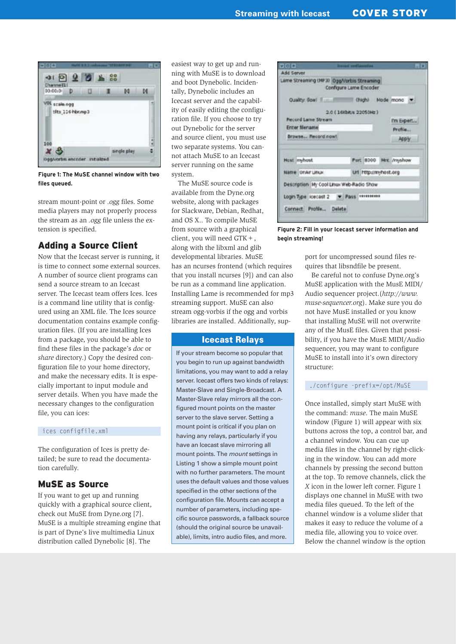

**Figure 1: The MuSE channel window with two files queued.**

stream mount-point or *.ogg* files. Some media players may not properly process the stream as an *.ogg* file unless the extension is specified.

## Adding a Source Client

Now that the Icecast server is running, it is time to connect some external sources. A number of source client programs can send a source stream to an Icecast server. The Icecast team offers Ices. Ices is a command line utility that is configured using an XML file. The Ices source documentation contains example configuration files. (If you are installing Ices from a package, you should be able to find these files in the package's *doc* or *share* directory.) Copy the desired configuration file to your home directory, and make the necessary edits. It is especially important to input module and server details. When you have made the necessary changes to the configuration file, you can ices:

#### ices configfile.xml

The configuration of Ices is pretty detailed; be sure to read the documentation carefully.

## MuSE as Source

If you want to get up and running quickly with a graphical source client, check out MuSE from Dyne.org [7]. MuSE is a multiple streaming engine that is part of Dyne's live multimedia Linux distribution called Dynebolic [8]. The

easiest way to get up and running with MuSE is to download and boot Dynebolic. Incidentally, Dynebolic includes an Icecast server and the capability of easily editing the configuration file. If you choose to try out Dynebolic for the server and source client, you must use two separate systems. You cannot attach MuSE to an Icecast server running on the same system.

The MuSE source code is available from the Dyne.org website, along with packages for Slackware, Debian, Redhat, and OS X.. To compile MuSE from source with a graphical client, you will need GTK+, along with the libxml and glib developmental libraries. MuSE has an ncurses frontend (which requires that you install ncurses [9]) and can also be run as a command line application. Installing Lame is recommended for mp3 streaming support. MuSE can also stream ogg-vorbis if the ogg and vorbis libraries are installed. Additionally, sup-

#### Icecast Relays

If your stream become so popular that you begin to run up against bandwidth limitations, you may want to add a relay server. Icecast offers two kinds of relays: Master-Slave and Single-Broadcast. A Master-Slave relay mirrors all the configured mount points on the master server to the slave server. Setting a mount point is critical if you plan on having any relays, particularly if you have an Icecast slave mirroring all mount points. The mount settings in Listing 1 show a simple mount point with no further parameters. The mount uses the default values and those values specified in the other sections of the configuration file. Mounts can accept a number of parameters, including specific source passwords, a fallback source (should the original source be unavailable), limits, intro audio files, and more.

| $r$ $\vert$ o $\vert$ $\bullet$ $\vert$         |                        | <b>Becart seef laurative</b> |                       |                       | $-1x$ |
|-------------------------------------------------|------------------------|------------------------------|-----------------------|-----------------------|-------|
| Add Server                                      |                        |                              |                       |                       |       |
| Lime Streaming (MF3) Ogg/Vorbis Streaming       | Configure Lame Encoder |                              |                       |                       |       |
| Quality Gowl   Fight   Chighi   Mode   mono   W |                        |                              |                       |                       |       |
|                                                 | 2.0 (16KbK/s 22050Hz)  |                              |                       |                       |       |
| <b>Record Lame Stream</b>                       |                        |                              | I'm Expert            |                       |       |
| <b>Enter filename</b>                           |                        |                              | Profile               |                       |       |
| Browne Record now!                              |                        |                              |                       | Apply.                |       |
| <b>Hast myhost</b>                              |                        |                              |                       | Port 8000 Mrt /myshow |       |
|                                                 |                        |                              |                       |                       |       |
| Name OrAY UNK                                   |                        |                              | Url Http://myhost.org |                       |       |
| Description My Cool Linux Web-Radio Show        |                        |                              |                       |                       |       |
|                                                 |                        |                              |                       |                       |       |
| Login Type loecast 2 - Pass Hermiters           |                        |                              |                       |                       |       |
| Cornect Profile Delete                          |                        |                              |                       |                       |       |
|                                                 |                        |                              |                       |                       |       |

**Figure 2: Fill in your Icecast server information and begin streaming!**

port for uncompressed sound files requires that libsndfile be present.

Be careful not to confuse Dyne.org's MuSE application with the MusE MIDI/ Audio sequencer project.(*http:// www. muse-sequencer. org*). Make sure you do not have MusE installed or you know that installing MuSE will not overwrite any of the MusE files. Given that possibility, if you have the MusE MIDI/Audio sequencer, you may want to configure MuSE to install into it's own directory structure:

#### ./configure -prefix=/opt/MuSE

Once installed, simply start MuSE with the command: *muse*. The main MuSE window (Figure 1) will appear with six buttons across the top, a control bar, and a channel window. You can cue up media files in the channel by right-clicking in the window. You can add more channels by pressing the second button at the top. To remove channels, click the *X* icon in the lower left corner. Figure 1 displays one channel in MuSE with two media files queued. To the left of the channel window is a volume slider that makes it easy to reduce the volume of a media file, allowing you to voice over. Below the channel window is the option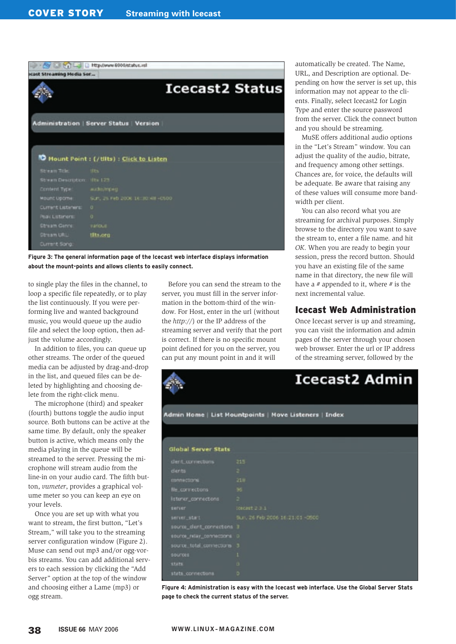|                                | http://www.9000/status.xsl                   |
|--------------------------------|----------------------------------------------|
| ocast Streaming Media Ser      |                                              |
|                                | <b>Icecast2 Status</b>                       |
|                                | Administration   Server Status   Version     |
|                                |                                              |
|                                |                                              |
|                                | Mount Point : (/tilts) : Click to Listen     |
| Stream Title: dits             |                                              |
| Stream Description: If to 123  |                                              |
|                                |                                              |
| Content Type: audio/mpeg-      |                                              |
|                                | Mount Upome  Sun, 25 Feb 200K 16:30:48 -0500 |
| Current Listeners: 0           |                                              |
| Photo Listensence  0.          |                                              |
| <b>Chrism Genre:</b> Institute |                                              |
| Stream URL: URLs.org           |                                              |

**Figure 3: The general information page of the Icecast web interface displays information about the mount-points and allows clients to easily connect.**

to single play the files in the channel, to loop a specific file repeatedly, or to play the list continuously. If you were performing live and wanted background music, you would queue up the audio file and select the loop option, then adjust the volume accordingly.

In addition to files, you can queue up other streams. The order of the queued media can be adjusted by drag-and-drop in the list, and queued files can be deleted by highlighting and choosing delete from the right-click menu.

The microphone (third) and speaker (fourth) buttons toggle the audio input source. Both buttons can be active at the same time. By default, only the speaker button is active, which means only the media playing in the queue will be streamed to the server. Pressing the microphone will stream audio from the line-in on your audio card. The fifth button, *vumeter*, provides a graphical volume meter so you can keep an eye on your levels.

Once you are set up with what you want to stream, the first button, "Let's Stream," will take you to the streaming server configuration window (Figure 2). Muse can send out mp3 and/or ogg-vorbis streams. You can add additional servers to each session by clicking the "Add Server" option at the top of the window and choosing either a Lame (mp3) or ogg stream.

Before you can send the stream to the server, you must fill in the server information in the bottom-third of the window. For Host, enter in the url (without the *http://*) or the IP address of the streaming server and verify that the port is correct. If there is no specific mount point defined for you on the server, you can put any mount point in and it will

automatically be created. The Name, URL, and Description are optional. Depending on how the server is set up, this information may not appear to the clients. Finally, select Icecast2 for Login Type and enter the source password from the server. Click the connect button and you should be streaming.

MuSE offers additional audio options in the "Let's Stream" window. You can adjust the quality of the audio, bitrate, and frequency among other settings. Chances are, for voice, the defaults will be adequate. Be aware that raising any of these values will consume more bandwidth per client.

You can also record what you are streaming for archival purposes. Simply browse to the directory you want to save the stream to, enter a file name. and hit *OK*. When you are ready to begin your session, press the record button. Should you have an existing file of the same name in that directory, the new file will have a *#* appended to it, where *#* is the next incremental value.

## Icecast Web Administration

Once Icecast server is up and streaming, you can visit the information and admin pages of the server through your chosen web browser. Enter the url or IP address of the streaming server, followed by the

## **Icecast2 Admin** Admin Home | List Mountpoints | Move Listeners | Index **Global Server Stats** istener\_connections Ln, 26 Feb 2006 16:21:01 -0500 e\_dent\_connecto stats stats connections

**Figure 4: Administration is easy with the Icecast web interface. Use the Global Server Stats page to check the current status of the server.**